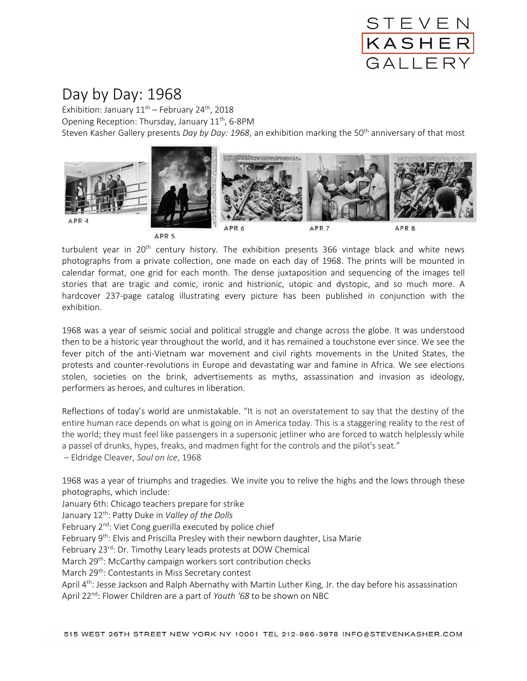

## Day by Day: 1968

Exhibition: January  $11<sup>th</sup>$  – February 24<sup>th</sup>, 2018 Opening Reception: Thursday, January  $11<sup>th</sup>$ , 6-8PM Steven Kasher Gallery presents *Day by Day: 1968*, an exhibition marking the 50th anniversary of that most



turbulent year in 20th century history*.* The exhibition presents 366 vintage black and white news photographs from a private collection, one made on each day of 1968. The prints will be mounted in calendar format, one grid for each month. The dense juxtaposition and sequencing of the images tell stories that are tragic and comic, ironic and histrionic, utopic and dystopic, and so much more. A hardcover 237-page catalog illustrating every picture has been published in conjunction with the exhibition.

1968 was a year of seismic social and political struggle and change across the globe. It was understood then to be a historic year throughout the world, and it has remained a touchstone ever since. We see the fever pitch of the anti-Vietnam war movement and civil rights movements in the United States, the protests and counter-revolutions in Europe and devastating war and famine in Africa. We see elections stolen, societies on the brink, advertisements as myths, assassination and invasion as ideology, performers as heroes, and cultures in liberation.

Reflections of today's world are unmistakable. "It is not an overstatement to say that the destiny of the entire human race depends on what is going on in America today. This is a staggering reality to the rest of the world; they must feel like passengers in a supersonic jetliner who are forced to watch helplessly while a passel of drunks, hypes, freaks, and madmen fight for the controls and the pilot's seat."

– Eldridge Cleaver, *Soul on Ice*, 1968

1968 was a year of triumphs and tragedies. We invite you to relive the highs and the lows through these photographs, which include:

January 6th: Chicago teachers prepare for strike

January 12th: Patty Duke in *Valley of the Dolls*

February 2<sup>nd</sup>: Viet Cong guerilla executed by police chief

February 9<sup>th</sup>: Elvis and Priscilla Presley with their newborn daughter, Lisa Marie

February 23<sup>rd</sup>: Dr. Timothy Leary leads protests at DOW Chemical

March 29<sup>th</sup>: McCarthy campaign workers sort contribution checks

March 29<sup>th</sup>: Contestants in Miss Secretary contest

April 4<sup>th</sup>: Jesse Jackson and Ralph Abernathy with Martin Luther King, Jr. the day before his assassination April 22nd: Flower Children are a part of *Youth '68* to be shown on NBC